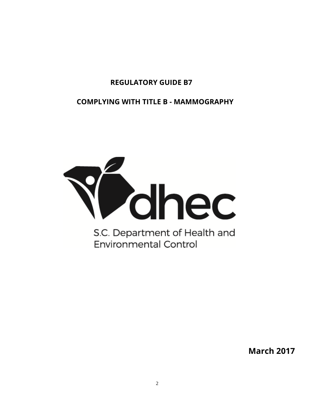## **REGULATORY GUIDE B7**

**COMPLYING WITH TITLE B - MAMMOGRAPHY**



**March 2017**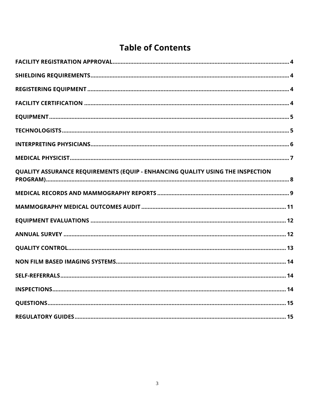# **Table of Contents**

| QUALITY ASSURANCE REQUIREMENTS (EQUIP - ENHANCING QUALITY USING THE INSPECTION |
|--------------------------------------------------------------------------------|
|                                                                                |
|                                                                                |
|                                                                                |
|                                                                                |
|                                                                                |
|                                                                                |
|                                                                                |
|                                                                                |
|                                                                                |
|                                                                                |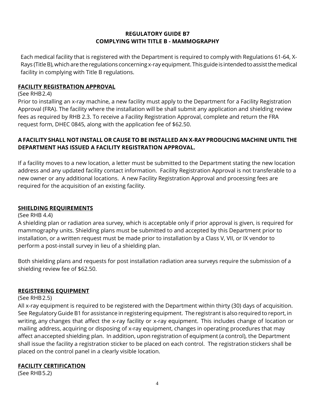## **REGULATORY GUIDE B7 COMPLYING WITH TITLE B - MAMMOGRAPHY**

Each medical facility that is registered with the Department is required to comply with Regulations 61-64, X-Rays (Title B), which are the regulations concerning x-ray equipment. This guide is intended to assist the medical facility in complying with Title B regulations.

#### **FACILITY REGISTRATION APPROVAL**

#### (See RHB 2.4)

Prior to installing an x-ray machine, a new facility must apply to the Department for a Facility Registration Approval (FRA). The facility where the installation will be shall submit any application and shielding review fees as required by RHB 2.3. To receive a Facility Registration Approval, complete and return the FRA request form, DHEC 0845, along with the application fee of \$62.50.

## **A FACILITY SHALL NOT INSTALL OR CAUSE TO BE INSTALLED AN X-RAY PRODUCING MACHINE UNTIL THE DEPARTMENT HAS ISSUED A FACILITY REGISTRATION APPROVAL.**

If a facility moves to a new location, a letter must be submitted to the Department stating the new location address and any updated facility contact information. Facility Registration Approval is not transferable to a new owner or any additional locations. A new Facility Registration Approval and processing fees are required for the acquisition of an existing facility.

#### **SHIELDING REQUIREMENTS**

(See RHB 4.4)

A shielding plan or radiation area survey, which is acceptable only if prior approval is given, is required for mammography units. Shielding plans must be submitted to and accepted by this Department prior to installation, or a written request must be made prior to installation by a Class V, VII, or IX vendor to perform a post-install survey in lieu of a shielding plan.

Both shielding plans and requests for post installation radiation area surveys require the submission of a shielding review fee of \$62.50.

## **REGISTERING EQUIPMENT**

#### (See RHB 2.5)

All x-ray equipment is required to be registered with the Department within thirty (30) days of acquisition. See Regulatory Guide B1 for assistance in registering equipment. The registrant is also required to report, in writing, any changes that affect the x-ray facility or x-ray equipment. This includes change of location or mailing address, acquiring or disposing of x-ray equipment, changes in operating procedures that may affect an accepted shielding plan. In addition, upon registration of equipment (a control), the Department shall issue the facility a registration sticker to be placed on each control. The registration stickers shall be placed on the control panel in a clearly visible location.

#### **FACILITY CERTIFICATION**

(See RHB 5.2)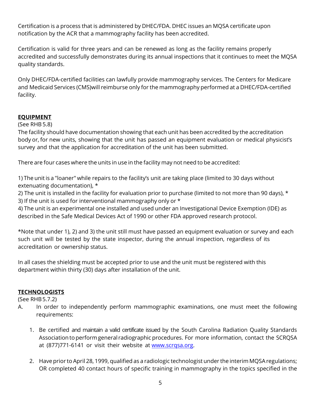Certification is a process that is administered by DHEC/FDA. DHEC issues an MQSA certificate upon notification by the ACR that a mammography facility has been accredited.

Certification is valid for three years and can be renewed as long as the facility remains properly accredited and successfully demonstrates during its annual inspections that it continues to meet the MQSA quality standards.

Only DHEC/FDA-certified facilities can lawfully provide mammography services. The Centers for Medicare and Medicaid Services (CMS) will reimburse only for the mammography performed at a DHEC/FDA-certified facility.

## **EQUIPMENT**

#### (See RHB 5.8)

The facility should have documentation showing that each unit has been accredited by the accreditation body or, for new units, showing that the unit has passed an equipment evaluation or medical physicist's survey and that the application for accreditation of the unit has been submitted.

There are four cases where the units in use in the facility may not need to be accredited:

1) The unit is a "loaner" while repairs to the facility's unit are taking place (limited to 30 days without extenuating documentation), \*

2) The unit is installed in the facility for evaluation prior to purchase (limited to not more than 90 days),  $\star$ 3) If the unit is used for interventional mammography only or \*

4) The unit is an experimental one installed and used under an Investigational Device Exemption (IDE) as described in the Safe Medical Devices Act of 1990 or other FDA approved research protocol.

\*Note that under 1), 2) and 3) the unit still must have passed an equipment evaluation or survey and each such unit will be tested by the state inspector, during the annual inspection, regardless of its accreditation or ownership status.

In all cases the shielding must be accepted prior to use and the unit must be registered with this department within thirty (30) days after installation of the unit.

## **TECHNOLOGISTS**

(See RHB 5.7.2)

- A. In order to independently perform mammographic examinations, one must meet the following requirements:
	- 1. Be certified and maintain a valid certificate issued by the South Carolina Radiation Quality Standards Association to perform general radiographic procedures. For more information, contact the SCRQSA at (877)771-6141 or visit their website at www.scrqsa.org.
	- 2. Have prior to April 28, 1999, qualified as a radiologic technologist under the interim MQSA regulations; OR completed 40 contact hours of specific training in mammography in the topics specified in the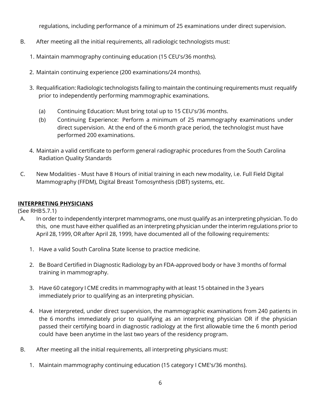regulations, including performance of a minimum of 25 examinations under direct supervision.

- B. After meeting all the initial requirements, all radiologic technologists must:
	- 1. Maintain mammography continuing education (15 CEU's/36 months).
	- 2. Maintain continuing experience (200 examinations/24 months).
	- 3. Requalification: Radiologic technologists failing to maintain the continuing requirements must requalify prior to independently performing mammographic examinations.
		- (a) Continuing Education: Must bring total up to 15 CEU's/36 months.
		- (b) Continuing Experience: Perform a minimum of 25 mammography examinations under direct supervision. At the end of the 6 month grace period, the technologist must have performed 200 examinations.
	- 4. Maintain a valid certificate to perform general radiographic procedures from the South Carolina Radiation Quality Standards
- C. New Modalities Must have 8 Hours of initial training in each new modality, i.e. Full Field Digital Mammography (FFDM), Digital Breast Tomosynthesis (DBT) systems, etc.

## **INTERPRETING PHYSICIANS**

(See RHB 5.7.1)

- A. In order to independently interpret mammograms, one must qualify as an interpreting physician. To do this, one must have either qualified as an interpreting physician under the interim regulations prior to April 28, 1999, OR after April 28, 1999, have documented all of the following requirements:
	- 1. Have a valid South Carolina State license to practice medicine.
	- 2. Be Board Certified in Diagnostic Radiology by an FDA-approved body or have 3 months of formal training in mammography.
	- 3. Have 60 category I CME credits in mammography with at least 15 obtained in the 3 years immediately prior to qualifying as an interpreting physician.
	- 4. Have interpreted, under direct supervision, the mammographic examinations from 240 patients in the 6 months immediately prior to qualifying as an interpreting physician OR if the physician passed their certifying board in diagnostic radiology at the first allowable time the 6 month period could have been anytime in the last two years of the residency program.
- B. After meeting all the initial requirements, all interpreting physicians must:
	- 1. Maintain mammography continuing education (15 category I CME's/36 months).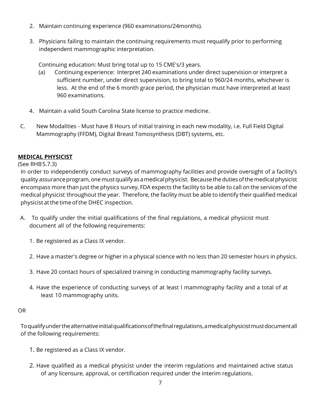- 2. Maintain continuing experience (960 examinations/24months).
- 3. Physicians failing to maintain the continuing requirements must requalify prior to performing independent mammographic interpretation.

Continuing education: Must bring total up to 15 CME's/3 years.

- (a) Continuing experience: Interpret 240 examinations under direct supervision or interpret a sufficient number, under direct supervision, to bring total to 960/24 months, whichever is less. At the end of the 6 month grace period, the physician must have interpreted at least 960 examinations.
- 4. Maintain a valid South Carolina State license to practice medicine.
- C. New Modalities Must have 8 Hours of initial training in each new modality, i.e. Full Field Digital Mammography (FFDM), Digital Breast Tomosynthesis (DBT) systems, etc.

## **MEDICAL PHYSICIST**

(See RHB 5.7.3)

In order to independently conduct surveys of mammography facilities and provide oversight of a facility's quality assurance program, one must qualify as a medical physicist. Because the duties of the medical physicist encompass more than just the physics survey, FDA expects the facility to be able to call on the services of the medical physicist throughout the year. Therefore, the facility must be able to identify their qualified medical physicist at the time of the DHEC inspection.

- A. To qualify under the initial qualifications of the final regulations, a medical physicist must document all of the following requirements:
	- 1. Be registered as a Class IX vendor.
	- 2. Have a master's degree or higher in a physical science with no less than 20 semester hours in physics.
	- 3. Have 20 contact hours of specialized training in conducting mammography facility surveys.
	- 4. Have the experience of conducting surveys of at least l mammography facility and a total of at least 10 mammography units.

## OR

To qualify under the alternative initial qualifications of the final regulations, a medical physicist must document all of the following requirements:

- 1. Be registered as a Class IX vendor.
- 2. Have qualified as a medical physicist under the interim regulations and maintained active status of any licensure, approval, or certification required under the interim regulations.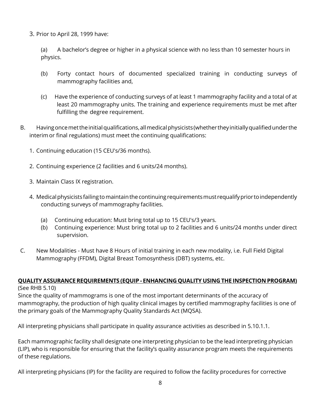3. Prior to April 28, 1999 have:

(a) A bachelor's degree or higher in a physical science with no less than 10 semester hours in physics.

- (b) Forty contact hours of documented specialized training in conducting surveys of mammography facilities and,
- (c) Have the experience of conducting surveys of at least 1 mammography facility and a total of at least 20 mammography units. The training and experience requirements must be met after fulfilling the degree requirement.
- B. Having once met the initial qualifications, all medical physicists (whether they initially qualified under the interim or final regulations) must meet the continuing qualifications:
	- 1. Continuing education (15 CEU's/36 months).
	- 2. Continuing experience (2 facilities and 6 units/24 months).
	- 3. Maintain Class IX registration.
	- 4. Medical physicists failing to maintain the continuing requirements must requalify prior to independently conducting surveys of mammography facilities.
		- (a) Continuing education: Must bring total up to 15 CEU's/3 years.
		- (b) Continuing experience: Must bring total up to 2 facilities and 6 units/24 months under direct supervision.
- C. New Modalities Must have 8 Hours of initial training in each new modality, i.e. Full Field Digital Mammography (FFDM), Digital Breast Tomosynthesis (DBT) systems, etc.

#### **QUALITY ASSURANCE REQUIREMENTS (EQUIP - ENHANCING QUALITY USING THE INSPECTION PROGRAM)** (See RHB 5.10)

Since the quality of mammograms is one of the most important determinants of the accuracy of mammography, the production of high quality clinical images by certified mammography facilities is one of the primary goals of the Mammography Quality Standards Act (MQSA).

All interpreting physicians shall participate in quality assurance activities as described in 5.10.1.1.

Each mammographic facility shall designate one interpreting physician to be the lead interpreting physician (LIP), who is responsible for ensuring that the facility's quality assurance program meets the requirements of these regulations.

All interpreting physicians (IP) for the facility are required to follow the facility procedures for corrective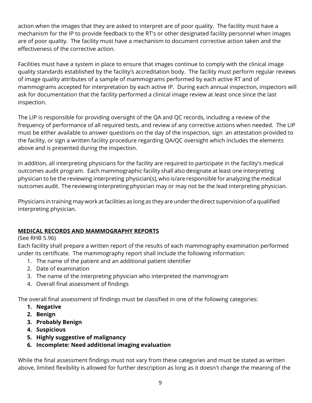action when the images that they are asked to interpret are of poor quality. The facility must have a mechanism for the IP to provide feedback to the RT's or other designated facility personnel when images are of poor quality. The facility must have a mechanism to document corrective action taken and the effectiveness of the corrective action.

Facilities must have a system in place to ensure that images continue to comply with the clinical image quality standards established by the facility's accreditation body. The facility must perform regular reviews of image quality attributes of a sample of mammograms performed by each active RT and of mammograms accepted for interpretation by each active IP. During each annual inspection, inspectors will ask for documentation that the facility performed a clinical image review at least once since the last inspection.

The LIP is responsible for providing oversight of the QA and QC records, including a review of the frequency of performance of all required tests, and review of any corrective actions when needed. The LIP must be either available to answer questions on the day of the inspection, sign an attestation provided to the facility, or sign a written facility procedure regarding QA/QC oversight which includes the elements above and is presented during the inspection.

In addition, all interpreting physicians for the facility are required to participate in the facility's medical outcomes audit program. Each mammographic facility shall also designate at least one interpreting physician to be the reviewing interpreting physician(s), who is/are responsible for analyzing the medical outcomes audit. The reviewing interpreting physician may or may not be the lead interpreting physician.

Physicians in training may work at facilities as long as they are under the direct supervision of a qualified interpreting physician.

## **MEDICAL RECORDS AND MAMMOGRAPHY REPORTS**

## (See RHB 5.96)

Each facility shall prepare a written report of the results of each mammography examination performed under its certificate. The mammography report shall include the following information:

- 1. The name of the patient and an additional patient identifier
- 2. Date of examination
- 3. The name of the interpreting physician who interpreted the mammogram
- 4. Overall final assessment of findings

The overall final assessment of findings must be classified in one of the following categories:

- **1. Negative**
- **2. Benign**
- **3. Probably Benign**
- **4. Suspicious**
- **5. Highly suggestive of malignancy**
- **6. Incomplete: Need additional imaging evaluation**

While the final assessment findings must not vary from these categories and must be stated as written above, limited flexibility is allowed for further description as long as it doesn't change the meaning of the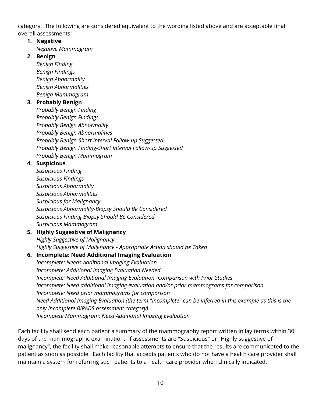category. The following are considered equivalent to the wording listed above and are acceptable final overall assessments:

## **1. Negative**

- *Negative Mammogram*
- **2. Benign**

*Benign Finding Benign Findings Benign Abnormality Benign Abnormalities Benign Mammogram* 

## **3. Probably Benign**

*Probably Benign Finding Probably Benign Findings Probably Benign Abnormality Probably Benign Abnormalities Probably Benign-Short Interval Follow-up Suggested Probably Benign Finding-Short Interval Follow-up Suggested Probably Benign Mammogram* 

## **4. Suspicious**

*Suspicious Finding Suspicious Findings Suspicious Abnormality Suspicious Abnormalities Suspicious for Malignancy Suspicious Abnormality-Biopsy Should Be Considered Suspicious Finding-Biopsy Should Be Considered Suspicious Mammogram* 

#### **5. Highly Suggestive of Malignancy**  *Highly Suggestive of Malignancy*

*Highly Suggestive of Malignance - Appropriate Action should be Taken* 

## **6. Incomplete: Need Additional Imaging Evaluation**

*Incomplete: Needs Additional Imaging Evaluation Incomplete: Additional Imaging Evaluation Needed Incomplete: Need Additional Imaging Evaluation -Comparison with Prior Studies Incomplete: Need additional imaging evaluation and/or prior mammograms for comparison Incomplete: Need prior mammograms for comparison Need Additional Imaging Evaluation (the term "Incomplete" can be inferred in this example as this is the only incomplete BIRADS assessment category) Incomplete Mammogram: Need Additional Imaging Evaluation* 

Each facility shall send each patient a summary of the mammography report written in lay terms within 30 days of the mammographic examination. If assessments are "Suspicious" or "Highly suggestive of malignancy", the facility shall make reasonable attempts to ensure that the results are communicated to the patient as soon as possible. Each facility that accepts patients who do not have a health care provider shall maintain a system for referring such patients to a health care provider when clinically indicated.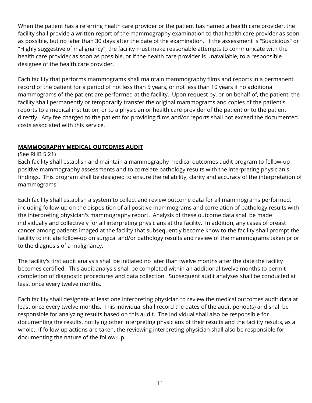When the patient has a referring health care provider or the patient has named a health care provider, the facility shall provide a written report of the mammography examination to that health care provider as soon as possible, but no later than 30 days after the date of the examination. If the assessment is "Suspicious" or "Highly suggestive of malignancy", the facility must make reasonable attempts to communicate with the health care provider as soon as possible, or if the health care provider is unavailable, to a responsible designee of the health care provider.

Each facility that performs mammograms shall maintain mammography films and reports in a permanent record of the patient for a period of not less than 5 years, or not less than 10 years if no additional mammograms of the patient are performed at the facility. Upon request by, or on behalf of, the patient, the facility shall permanently or temporarily transfer the original mammograms and copies of the patient's reports to a medical institution, or to a physician or health care provider of the patient or to the patient directly. Any fee charged to the patient for providing films and/or reports shall not exceed the documented costs associated with this service.

#### **MAMMOGRAPHY MEDICAL OUTCOMES AUDIT**

#### (See RHB 5.21)

Each facility shall establish and maintain a mammography medical outcomes audit program to follow-up positive mammography assessments and to correlate pathology results with the interpreting physician's findings. This program shall be designed to ensure the reliability, clarity and accuracy of the interpretation of mammograms.

Each facility shall establish a system to collect and review outcome data for all mammograms performed, including follow-up on the disposition of all positive mammograms and correlation of pathology results with the interpreting physician's mammography report. Analysis of these outcome data shall be made individually and collectively for all interpreting physicians at the facility. In addition, any cases of breast cancer among patients imaged at the facility that subsequently become know to the facility shall prompt the facility to initiate follow-up on surgical and/or pathology results and review of the mammograms taken prior to the diagnosis of a malignancy.

The facility's first audit analysis shall be initiated no later than twelve months after the date the facility becomes certified. This audit analysis shall be completed within an additional twelve months to permit completion of diagnostic procedures and data collection. Subsequent audit analyses shall be conducted at least once every twelve months.

Each facility shall designate at least one interpreting physician to review the medical outcomes audit data at least once every twelve months. This individual shall record the dates of the audit period(s) and shall be responsible for analyzing results based on this audit. The individual shall also be responsible for documenting the results, notifying other interpreting physicians of their results and the facility results, as a whole. If follow-up actions are taken, the reviewing interpreting physician shall also be responsible for documenting the nature of the follow-up.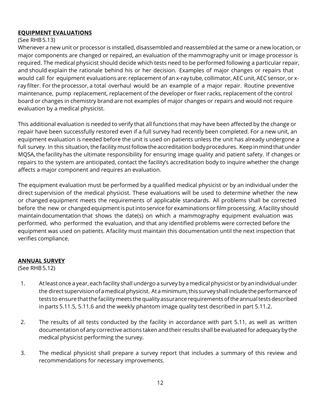#### **EQUIPMENT EVALUATIONS**

#### (See RHB 5.13)

Whenever a new unit or processor is installed, disassembled and reassembled at the same or a new location, or major components are changed or repaired, an evaluation of the mammography unit or image processor is required. The medical physicist should decide which tests need to be performed following a particular repair, and should explain the rationale behind his or her decision. Examples of major changes or repairs that would call for equipment evaluations are: replacement of an x-ray tube, collimator, AEC unit, AEC sensor, or xray filter. For the processor, a total overhaul would be an example of a major repair. Routine preventive maintenance, pump replacement, replacement of the developer or fixer racks, replacement of the control board or changes in chemistry brand are not examples of major changes or repairs and would not require evaluation by a medical physicist.

This additional evaluation is needed to verify that all functions that may have been affected by the change or repair have been successfully restored even if a full survey had recently been completed. For a new unit, an equipment evaluation is needed before the unit is used on patients unless the unit has already undergone a full survey. In this situation, the facility must follow the accreditation body procedures. Keep in mind that under MQSA, the facility has the ultimate responsibility for ensuring image quality and patient safety. If changes or repairs to the system are anticipated, contact the facility's accreditation body to inquire whether the change affects a major component and requires an evaluation.

The equipment evaluation must be performed by a qualified medical physicist or by an individual under the direct supervision of the medical physicist. These evaluations will be used to determine whether the new or changed equipment meets the requirements of applicable standards. All problems shall be corrected before the new or changed equipment is put into service for examinations or film processing. A facility should maintain documentation that shows the date(s) on which a mammography equipment evaluation was performed, who performed the evaluation, and that any identified problems were corrected before the equipment was used on patients. A facility must maintain this documentation until the next inspection that verifies compliance.

#### **ANNUAL SURVEY**

(See RHB 5.12)

- 1. At least once a year, each facility shall undergo a survey by a medical physicist or by an individual under the direct supervision of a medical physicist. At a minimum, this survey shall include the performance of tests to ensure that the facility meets the quality assurance requirements of the annual tests described in parts 5.11.5, 5.11.6 and the weekly phantom image quality test described in part 5.11.2.
- 2. The results of all tests conducted by the facility in accordance with part 5.11, as well as written documentation of any corrective actions taken and their results shall be evaluated for adequacy by the medical physicist performing the survey.
- 3. The medical physicist shall prepare a survey report that includes a summary of this review and recommendations for necessary improvements.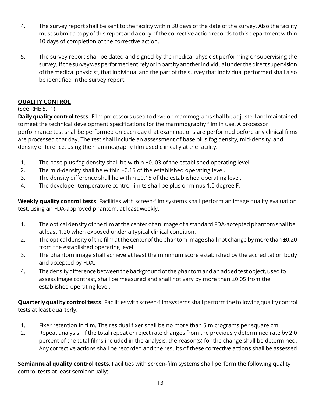- 4. The survey report shall be sent to the facility within 30 days of the date of the survey. Also the facility must submit a copy of this report and a copy of the corrective action records to this department within 10 days of completion of the corrective action.
- 5. The survey report shall be dated and signed by the medical physicist performing or supervising the survey. If the survey was performed entirely or in part by another individual under the direct supervision of the medical physicist, that individual and the part of the survey that individual performed shall also be identified in the survey report.

## **QUALITY CONTROL**

## (See RHB 5.11)

**Daily quality control tests**. Film processors used to develop mammograms shall be adjusted and maintained to meet the technical development specifications for the mammography film in use. A processor performance test shall be performed on each day that examinations are performed before any clinical films are processed that day. The test shall include an assessment of base plus fog density, mid-density, and density difference, using the mammography film used clinically at the facility.

- 1. The base plus fog density shall be within +0. 03 of the established operating level.
- 2. The mid-density shall be within  $\pm 0.15$  of the established operating level.
- 3. The density difference shall he within ±0.15 of the established operating level.
- 4. The developer temperature control limits shall be plus or minus 1.0 degree F.

**Weekly quality control tests**. Facilities with screen-film systems shall perform an image quality evaluation test, using an FDA-approved phantom, at least weekly.

- 1. The optical density of the film at the center of an image of a standard FDA-accepted phantom shall be at least 1.20 when exposed under a typical clinical condition.
- 2. The optical density of the film at the center of the phantom image shall not change by more than ±0.20 from the established operating level.
- 3. The phantom image shall achieve at least the minimum score established by the accreditation body and accepted by FDA.
- 4. The density difference between the background of the phantom and an added test object, used to assess image contrast, shall be measured and shall not vary by more than ±0.05 from the established operating level.

**Quarterly quality control tests**. Facilities with screen-film systems shall perform the following quality control tests at least quarterly:

- 1. Fixer retention in film. The residual fixer shall be no more than 5 micrograms per square cm.
- 2. Repeat analysis. If the total repeat or reject rate changes from the previously determined rate by 2.0 percent of the total films included in the analysis, the reason(s) for the change shall be determined. Any corrective actions shall be recorded and the results of these corrective actions shall be assessed

**Semiannual quality control tests**. Facilities with screen-film systems shall perform the following quality control tests at least semiannually: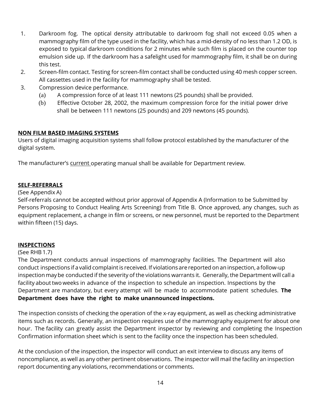- 1. Darkroom fog. The optical density attributable to darkroom fog shall not exceed 0.05 when a mammography film of the type used in the facility, which has a mid-density of no less than 1.2 OD, is exposed to typical darkroom conditions for 2 minutes while such film is placed on the counter top emulsion side up. If the darkroom has a safelight used for mammography film, it shall be on during this test.
- 2. Screen-film contact. Testing for screen-film contact shall be conducted using 40 mesh copper screen. All cassettes used in the facility for mammography shall be tested.
- 3. Compression device performance.
	- (a) A compression force of at least 111 newtons (25 pounds) shall be provided.
	- (b) Effective October 28, 2002, the maximum compression force for the initial power drive shall be between 111 newtons (25 pounds) and 209 newtons (45 pounds).

## **NON FILM BASED IMAGING SYSTEMS**

Users of digital imaging acquisition systems shall follow protocol established by the manufacturer of the digital system.

The manufacturer's current operating manual shall be available for Department review.

#### **SELF-REFERRALS**

#### (See Appendix A)

Self-referrals cannot be accepted without prior approval of Appendix A (Information to be Submitted by Persons Proposing to Conduct Healing Arts Screening) from Title B. Once approved, any changes, such as equipment replacement, a change in film or screens, or new personnel, must be reported to the Department within fifteen (15) days.

## **INSPECTIONS**

#### (See RHB 1.7)

The Department conducts annual inspections of mammography facilities. The Department will also conduct inspections if a valid complaint is received. If violations are reported on an inspection, a follow-up inspection may be conducted if the severity of the violations warrants it. Generally, the Department will call a facility about two weeks in advance of the inspection to schedule an inspection. Inspections by the Department are mandatory, but every attempt will be made to accommodate patient schedules. **The Department does have the right to make unannounced inspections.**

The inspection consists of checking the operation of the x-ray equipment, as well as checking administrative items such as records. Generally, an inspection requires use of the mammography equipment for about one hour. The facility can greatly assist the Department inspector by reviewing and completing the Inspection Confirmation information sheet which is sent to the facility once the inspection has been scheduled.

At the conclusion of the inspection, the inspector will conduct an exit interview to discuss any items of noncompliance, as well as any other pertinent observations. The inspector will mail the facility an inspection report documenting any violations, recommendations or comments.